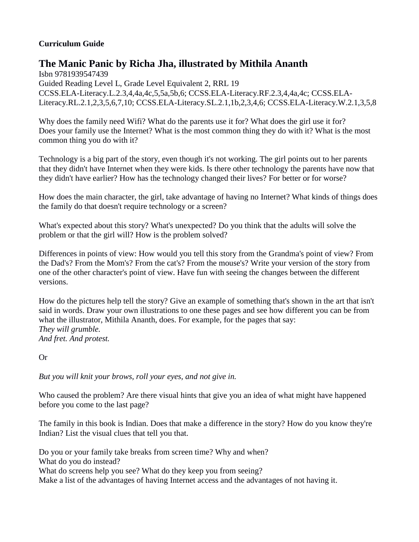## **Curriculum Guide**

## **The Manic Panic by Richa Jha, illustrated by Mithila Ananth**

Isbn 9781939547439 Guided Reading Level L, Grade Level Equivalent 2, RRL 19 CCSS.ELA-Literacy.L.2.3,4,4a,4c,5,5a,5b,6; CCSS.ELA-Literacy.RF.2.3,4,4a,4c; CCSS.ELA-Literacy.RL.2.1,2,3,5,6,7,10; CCSS.ELA-Literacy.SL.2.1,1b,2,3,4,6; CCSS.ELA-Literacy.W.2.1,3,5,8

Why does the family need Wifi? What do the parents use it for? What does the girl use it for? Does your family use the Internet? What is the most common thing they do with it? What is the most common thing you do with it?

Technology is a big part of the story, even though it's not working. The girl points out to her parents that they didn't have Internet when they were kids. Is there other technology the parents have now that they didn't have earlier? How has the technology changed their lives? For better or for worse?

How does the main character, the girl, take advantage of having no Internet? What kinds of things does the family do that doesn't require technology or a screen?

What's expected about this story? What's unexpected? Do you think that the adults will solve the problem or that the girl will? How is the problem solved?

Differences in points of view: How would you tell this story from the Grandma's point of view? From the Dad's? From the Mom's? From the cat's? From the mouse's? Write your version of the story from one of the other character's point of view. Have fun with seeing the changes between the different versions.

How do the pictures help tell the story? Give an example of something that's shown in the art that isn't said in words. Draw your own illustrations to one these pages and see how different you can be from what the illustrator, Mithila Ananth, does. For example, for the pages that say: *They will grumble. And fret. And protest.*

Or

*But you will knit your brows, roll your eyes, and not give in.*

Who caused the problem? Are there visual hints that give you an idea of what might have happened before you come to the last page?

The family in this book is Indian. Does that make a difference in the story? How do you know they're Indian? List the visual clues that tell you that.

Do you or your family take breaks from screen time? Why and when? What do you do instead? What do screens help you see? What do they keep you from seeing? Make a list of the advantages of having Internet access and the advantages of not having it.